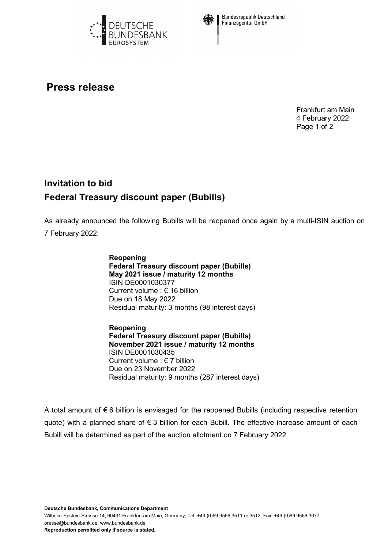



**Bundesrepublik Deutschland Finanzagentur GmbH** 

## **Press release**

Frankfurt am Main 4 February 2022 Page 1 of 2

## **Invitation to bid Federal Treasury discount paper (Bubills)**

As already announced the following Bubills will be reopened once again by a multi-ISIN auction on 7 February 2022:

> **Reopening Federal Treasury discount paper (Bubills) May 2021 issue / maturity 12 months** ISIN DE0001030377 Current volume : € 16 billion Due on 18 May 2022 Residual maturity: 3 months (98 interest days)

**Reopening Federal Treasury discount paper (Bubills) November 2021 issue / maturity 12 months** ISIN DE0001030435 Current volume : € 7 billion Due on 23 November 2022 Residual maturity: 9 months (287 interest days)

A total amount of € 6 billion is envisaged for the reopened Bubills (including respective retention quote) with a planned share of € 3 billion for each Bubill. The effective increase amount of each Bubill will be determined as part of the auction allotment on 7 February 2022.

**Deutsche Bundesbank, Communications Department**

Wilhelm-Epstein-Strasse 14, 60431 Frankfurt am Main, Germany, Tel: +49 (0)69 9566 3511 or 3512, Fax: +49 (0)69 9566 3077 presse@bundesbank.de, www.bundesbank.de